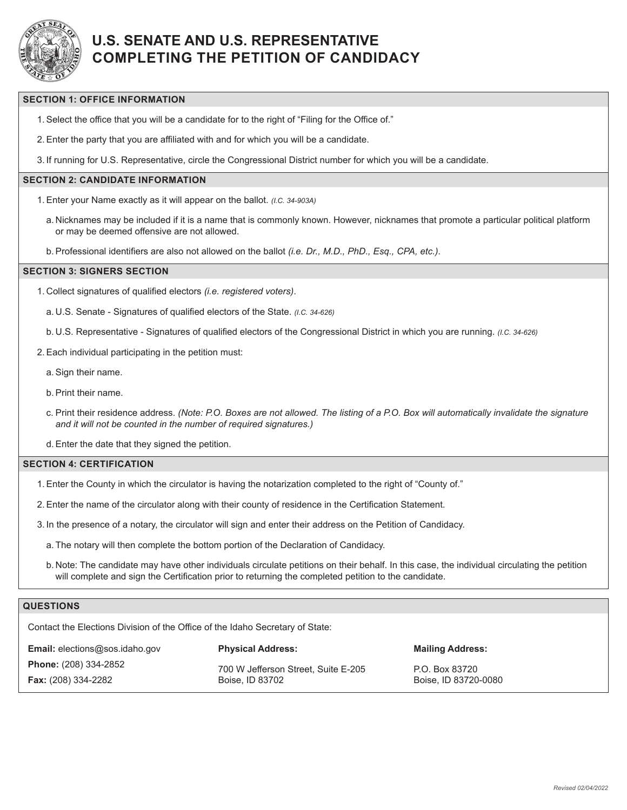

## **U.S. SENATE AND U.S. REPRESENTATIVE COMPLETING THE PETITION OF CANDIDACY**

#### **SECTION 1: OFFICE INFORMATION**

- 1.Select the office that you will be a candidate for to the right of "Filing for the Office of."
- 2.Enter the party that you are affiliated with and for which you will be a candidate.
- 3. If running for U.S. Representative, circle the Congressional District number for which you will be a candidate.

### **SECTION 2: CANDIDATE INFORMATION**

- 1.Enter your Name exactly as it will appear on the ballot. *(I.C. 34-903A)*
	- a. Nicknames may be included if it is a name that is commonly known. However, nicknames that promote a particular political platform or may be deemed offensive are not allowed.
- b.Professional identifiers are also not allowed on the ballot *(i.e. Dr., M.D., PhD., Esq., CPA, etc.)*.

#### **SECTION 3: SIGNERS SECTION**

- 1. Collect signatures of qualified electors *(i.e. registered voters)*.
	- a. U.S. Senate Signatures of qualified electors of the State. *(I.C. 34-626)*
	- b. U.S. Representative Signatures of qualified electors of the Congressional District in which you are running. *(I.C. 34-626)*
- 2.Each individual participating in the petition must:
	- a.Sign their name.
	- b.Print their name.
	- c. Print their residence address. *(Note: P.O. Boxes are not allowed. The listing of a P.O. Box will automatically invalidate the signature and it will not be counted in the number of required signatures.)*
	- d.Enter the date that they signed the petition.

#### **SECTION 4: CERTIFICATION**

- 1.Enter the County in which the circulator is having the notarization completed to the right of "County of."
- 2.Enter the name of the circulator along with their county of residence in the Certification Statement.
- 3. In the presence of a notary, the circulator will sign and enter their address on the Petition of Candidacy.
	- a. The notary will then complete the bottom portion of the Declaration of Candidacy.
	- b. Note: The candidate may have other individuals circulate petitions on their behalf. In this case, the individual circulating the petition will complete and sign the Certification prior to returning the completed petition to the candidate.

#### **QUESTIONS**

Contact the Elections Division of the Office of the Idaho Secretary of State:

| <b>Email:</b> elections@sos.idaho.gov | <b>Physical Address:</b>            | <b>Mailing Address:</b> |  |  |
|---------------------------------------|-------------------------------------|-------------------------|--|--|
| <b>Phone:</b> (208) 334-2852          | 700 W Jefferson Street, Suite E-205 | P.O. Box 83720          |  |  |
| <b>Fax:</b> (208) 334-2282            | Boise, ID 83702                     | Boise, ID 83720-0080    |  |  |
|                                       |                                     |                         |  |  |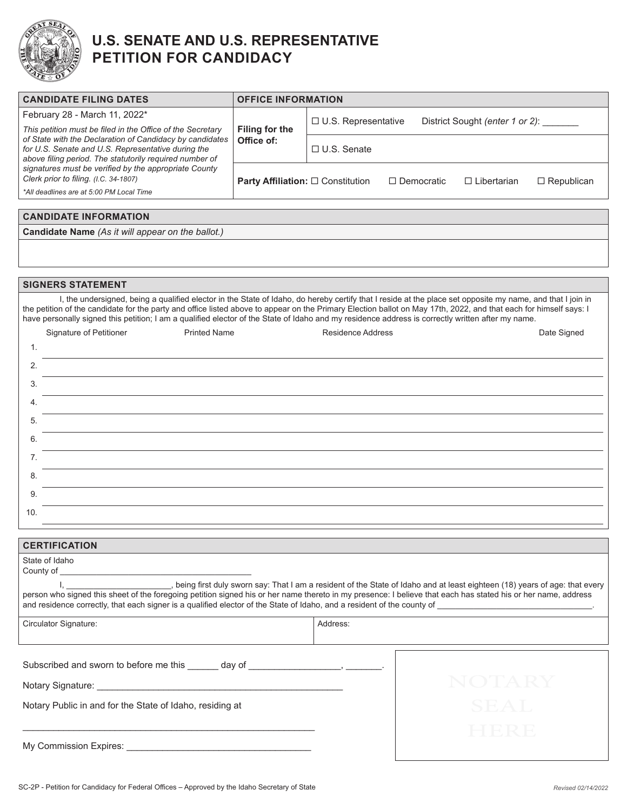

### **U.S. SENATE AND U.S. REPRESENTATIVE PETITION FOR CANDIDACY**

| <b>CANDIDATE FILING DATES</b>                                                                                                                                                                                                                                                                                                                                                                                                                                                        | <b>OFFICE INFORMATION</b>                       |                                                                      |                   |  |                    |                   |
|--------------------------------------------------------------------------------------------------------------------------------------------------------------------------------------------------------------------------------------------------------------------------------------------------------------------------------------------------------------------------------------------------------------------------------------------------------------------------------------|-------------------------------------------------|----------------------------------------------------------------------|-------------------|--|--------------------|-------------------|
| February 28 - March 11, 2022*                                                                                                                                                                                                                                                                                                                                                                                                                                                        | Filing for the<br>Office of:                    | $\Box$ U.S. Representative<br>District Sought (enter 1 or 2): ______ |                   |  |                    |                   |
| This petition must be filed in the Office of the Secretary<br>of State with the Declaration of Candidacy by candidates<br>for U.S. Senate and U.S. Representative during the<br>above filing period. The statutorily required number of<br>signatures must be verified by the appropriate County<br>Clerk prior to filing. (I.C. 34-1807)                                                                                                                                            |                                                 | □ U.S. Senate                                                        |                   |  |                    |                   |
|                                                                                                                                                                                                                                                                                                                                                                                                                                                                                      | <b>Party Affiliation: □ Constitution</b>        |                                                                      | $\Box$ Democratic |  | $\Box$ Libertarian | $\Box$ Republican |
| *All deadlines are at 5:00 PM Local Time                                                                                                                                                                                                                                                                                                                                                                                                                                             |                                                 |                                                                      |                   |  |                    |                   |
| <b>CANDIDATE INFORMATION</b>                                                                                                                                                                                                                                                                                                                                                                                                                                                         |                                                 |                                                                      |                   |  |                    |                   |
| Candidate Name (As it will appear on the ballot.)                                                                                                                                                                                                                                                                                                                                                                                                                                    |                                                 |                                                                      |                   |  |                    |                   |
|                                                                                                                                                                                                                                                                                                                                                                                                                                                                                      |                                                 |                                                                      |                   |  |                    |                   |
|                                                                                                                                                                                                                                                                                                                                                                                                                                                                                      |                                                 |                                                                      |                   |  |                    |                   |
| <b>SIGNERS STATEMENT</b>                                                                                                                                                                                                                                                                                                                                                                                                                                                             |                                                 |                                                                      |                   |  |                    |                   |
| I, the undersigned, being a qualified elector in the State of Idaho, do hereby certify that I reside at the place set opposite my name, and that I join in<br>the petition of the candidate for the party and office listed above to appear on the Primary Election ballot on May 17th, 2022, and that each for himself says: I<br>have personally signed this petition; I am a qualified elector of the State of Idaho and my residence address is correctly written after my name. |                                                 |                                                                      |                   |  |                    |                   |
| Signature of Petitioner                                                                                                                                                                                                                                                                                                                                                                                                                                                              | <b>Printed Name</b><br><b>Residence Address</b> |                                                                      | Date Signed       |  |                    |                   |
| 1.                                                                                                                                                                                                                                                                                                                                                                                                                                                                                   |                                                 |                                                                      |                   |  |                    |                   |
| 2.                                                                                                                                                                                                                                                                                                                                                                                                                                                                                   |                                                 |                                                                      |                   |  |                    |                   |
| 3.                                                                                                                                                                                                                                                                                                                                                                                                                                                                                   |                                                 |                                                                      |                   |  |                    |                   |
| 4.                                                                                                                                                                                                                                                                                                                                                                                                                                                                                   |                                                 |                                                                      |                   |  |                    |                   |
| 5.                                                                                                                                                                                                                                                                                                                                                                                                                                                                                   |                                                 |                                                                      |                   |  |                    |                   |
| 6.                                                                                                                                                                                                                                                                                                                                                                                                                                                                                   |                                                 |                                                                      |                   |  |                    |                   |
| 7.                                                                                                                                                                                                                                                                                                                                                                                                                                                                                   |                                                 |                                                                      |                   |  |                    |                   |
| 8.                                                                                                                                                                                                                                                                                                                                                                                                                                                                                   |                                                 |                                                                      |                   |  |                    |                   |
| 9.                                                                                                                                                                                                                                                                                                                                                                                                                                                                                   |                                                 |                                                                      |                   |  |                    |                   |
| 10.                                                                                                                                                                                                                                                                                                                                                                                                                                                                                  |                                                 |                                                                      |                   |  |                    |                   |
|                                                                                                                                                                                                                                                                                                                                                                                                                                                                                      |                                                 |                                                                      |                   |  |                    |                   |
| <b>CERTIFICATION</b>                                                                                                                                                                                                                                                                                                                                                                                                                                                                 |                                                 |                                                                      |                   |  |                    |                   |
| State of Idaho<br>County of                                                                                                                                                                                                                                                                                                                                                                                                                                                          |                                                 |                                                                      |                   |  |                    |                   |
| being first duly sworn say: That I am a resident of the State of Idaho and at least eighteen (18) years of age: that every, المساحد المستحدث                                                                                                                                                                                                                                                                                                                                         |                                                 |                                                                      |                   |  |                    |                   |
| person who signed this sheet of the foregoing petition signed his or her name thereto in my presence: I believe that each has stated his or her name, address                                                                                                                                                                                                                                                                                                                        |                                                 |                                                                      |                   |  |                    |                   |
| Circulator Signature:                                                                                                                                                                                                                                                                                                                                                                                                                                                                |                                                 | Address:                                                             |                   |  |                    |                   |
| Subscribed and sworn to before me this ______ day of _____________________, ________.                                                                                                                                                                                                                                                                                                                                                                                                |                                                 |                                                                      |                   |  |                    |                   |
|                                                                                                                                                                                                                                                                                                                                                                                                                                                                                      |                                                 |                                                                      |                   |  | NOTARY             |                   |
| Notary Public in and for the State of Idaho, residing at                                                                                                                                                                                                                                                                                                                                                                                                                             |                                                 |                                                                      |                   |  | SEAL               |                   |
|                                                                                                                                                                                                                                                                                                                                                                                                                                                                                      |                                                 |                                                                      |                   |  |                    |                   |
|                                                                                                                                                                                                                                                                                                                                                                                                                                                                                      |                                                 |                                                                      |                   |  | HERE               |                   |